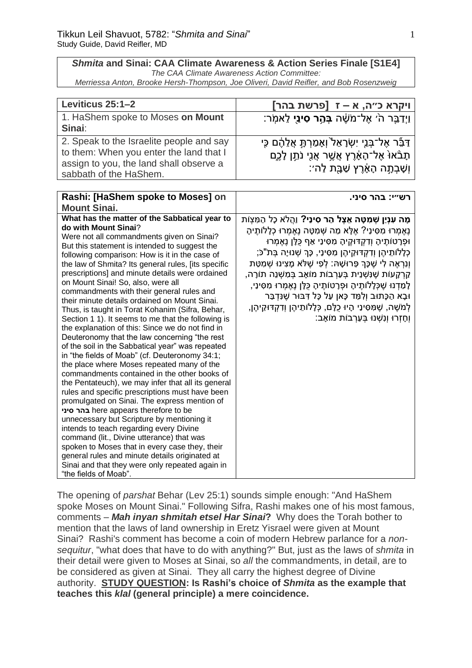*Shmita* **and Sinai: CAA Climate Awareness & Action Series Finale [S1E4]** *The CAA Climate Awareness Action Committee: Merriessa Anton, Brooke Hersh-Thompson, Joe Oliveri, David Reifler, and Bob Rosenzweig*

| Leviticus 25:1-2                                                                                                                                                                                                                                                                                                                                                                                                                                                                                                                                                                                                                                                                                                                                                                                                                                                                                                                                                                                                                                                                                                                                                                                                                                                                                                                                                                                              | [ויקרא כ״ה, א – ז  [פרשת בהר                                                                                                                                                                                                                                                                                                                                                                                                                                                                                                                                                                                                                                                                     |
|---------------------------------------------------------------------------------------------------------------------------------------------------------------------------------------------------------------------------------------------------------------------------------------------------------------------------------------------------------------------------------------------------------------------------------------------------------------------------------------------------------------------------------------------------------------------------------------------------------------------------------------------------------------------------------------------------------------------------------------------------------------------------------------------------------------------------------------------------------------------------------------------------------------------------------------------------------------------------------------------------------------------------------------------------------------------------------------------------------------------------------------------------------------------------------------------------------------------------------------------------------------------------------------------------------------------------------------------------------------------------------------------------------------|--------------------------------------------------------------------------------------------------------------------------------------------------------------------------------------------------------------------------------------------------------------------------------------------------------------------------------------------------------------------------------------------------------------------------------------------------------------------------------------------------------------------------------------------------------------------------------------------------------------------------------------------------------------------------------------------------|
| 1. HaShem spoke to Moses on Mount<br>Sinai:                                                                                                                                                                                                                                                                                                                                                                                                                                                                                                                                                                                                                                                                                                                                                                                                                                                                                                                                                                                                                                                                                                                                                                                                                                                                                                                                                                   | וַיִדַבֵּר ה <sup>ַ,</sup> אֵל־מֹשֵׁה <b>בִּהֵר סִינֵי</b> לֵאמִר:                                                                                                                                                                                                                                                                                                                                                                                                                                                                                                                                                                                                                               |
| 2. Speak to the Israelite people and say<br>to them: When you enter the land that I<br>assign to you, the land shall observe a<br>sabbath of the HaShem.                                                                                                                                                                                                                                                                                                                                                                                                                                                                                                                                                                                                                                                                                                                                                                                                                                                                                                                                                                                                                                                                                                                                                                                                                                                      | דַבָּֿר אֶל־בְּנֵי יִשְׂרָאֵל <sup>י</sup> וְאָמַרְתָּ אֲלֵהֶם כָּי<br>תָבּٛאוּ אֶל־הָאָ֫רֶץ אֲשֱר אֲנֵי נֹתֵן לָכֶם<br>וְשָׁבְתֶה הָאָ <u>ׂרֶ</u> ץ שַׁבָּת לַה׳:                                                                                                                                                                                                                                                                                                                                                                                                                                                                                                                               |
| Rashi: [HaShem spoke to Moses] on<br><b>Mount Sinai.</b>                                                                                                                                                                                                                                                                                                                                                                                                                                                                                                                                                                                                                                                                                                                                                                                                                                                                                                                                                                                                                                                                                                                                                                                                                                                                                                                                                      | רש״י: בהר סיני.                                                                                                                                                                                                                                                                                                                                                                                                                                                                                                                                                                                                                                                                                  |
| What has the matter of the Sabbatical year to<br>do with Mount Sinai?<br>Were not all commandments given on Sinai?<br>But this statement is intended to suggest the<br>following comparison: How is it in the case of<br>the law of Shmita? Its general rules, [its specific<br>prescriptions] and minute details were ordained<br>on Mount Sinai! So, also, were all<br>commandments with their general rules and<br>their minute details ordained on Mount Sinai.<br>Thus, is taught in Torat Kohanim (Sifra, Behar,<br>Section 1 1). It seems to me that the following is<br>the explanation of this: Since we do not find in<br>Deuteronomy that the law concerning "the rest<br>of the soil in the Sabbatical year" was repeated<br>in "the fields of Moab" (cf. Deuteronomy 34:1;<br>the place where Moses repeated many of the<br>commandments contained in the other books of<br>the Pentateuch), we may infer that all its general<br>rules and specific prescriptions must have been<br>promulgated on Sinai. The express mention of<br>בהר סיני here appears therefore to be<br>unnecessary but Scripture by mentioning it<br>intends to teach regarding every Divine<br>command (lit., Divine utterance) that was<br>spoken to Moses that in every case they, their<br>general rules and minute details originated at<br>Sinai and that they were only repeated again in<br>"the fields of Moab". | <b>מָה עִנְיַן שְׁמִטָּה אֵצֶל הַר סִינַי?</b> וַהֲלֹא כָל הַמִּצְוֹת<br>נֵאֵמְרוּ מִסִּינַי? אֵלָא מַה שִׁמְטָה נֵאֵמְרוּ כְלָלוֹתֵיהָ<br>ּוּפְרָטוֹתֶיהָ וְדִקְדּוּקֶיהָ מִסִּינַי אַף כַּלָּן נֵאֵמְרוּ<br>כִלְלוֹתֵיהֵן וְדִקְדּוּקֵיהֵן מִסִּינַי, כָּךְ שְׁנוּיָה בָּתֹ"כֹּ;<br>וִנְרָאֶה לִי שֶׁכָּךְ פֵּרוּשָׁהּ: לְפִי שֶׁלֹּא מָצִינוּ שָׁמִטַּת<br>ַקַרְקָעוֹת שֶׁנָּשְׁנֵית בְּעַרְבוֹת מוֹאָב בְּמִשְׁנֵה תוֹרָה,<br>ָלְמַדְנוּ שֶׁכָּלְלוֹתֶיהָ וּפְרָטוֹתֶיהָ כֻּלָּן נֶאֶמְרוּ מִסִּינַי,<br>וּבָא הַכָּתוּב וְלְמֵד כָּאן עַל כָּל דְּבּוּר שֶׁנִּדְבַּר<br>ַלְמֹשֶׁה, שֶׁמִּסִּינֵי הָיוּ כֻלָּם, כְּלָלוֹתֵיהֶן וְדִקְדּוּקֵיהֶן,<br>וְחָזְרוּ וְנִשְׁנוּ בְּעַרְבוֹת מוֹאָב: |

The opening of *parshat* Behar (Lev 25:1) sounds simple enough: "And HaShem spoke Moses on Mount Sinai." Following Sifra, Rashi makes one of his most famous, comments – *Mah inyan shmitah etsel Har Sinai***?** Why does the Torah bother to mention that the laws of land ownership in Eretz Yisrael were given at Mount Sinai? Rashi's comment has become a coin of modern Hebrew parlance for a *nonsequitur*, "what does that have to do with anything?" But, just as the laws of *shmita* in their detail were given to Moses at Sinai, so *all* the commandments, in detail, are to be considered as given at Sinai. They all carry the highest degree of Divine authority. **STUDY QUESTION: Is Rashi's choice of** *Shmita* **as the example that teaches this** *klal* **(general principle) a mere coincidence.**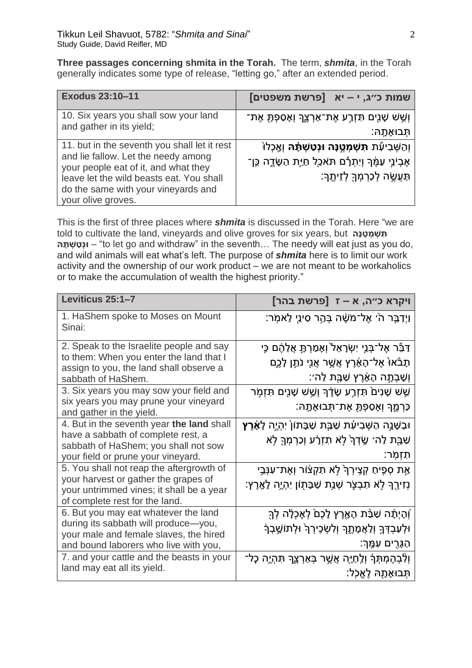**Three passages concerning shmita in the Torah.** The term, *shmita*, in the Torah generally indicates some type of release, "letting go," after an extended period.

| <b>Exodus 23:10-11</b>                                                                                                                                                                                                               | שמות כ״ג, י – יא [פרשת משפטים]                                                                                                                                       |
|--------------------------------------------------------------------------------------------------------------------------------------------------------------------------------------------------------------------------------------|----------------------------------------------------------------------------------------------------------------------------------------------------------------------|
| 10. Six years you shall sow your land<br>and gather in its yield;                                                                                                                                                                    | ֿןְשֵׁשׁ שָׁנֶים תִּזְרֵע אֶת־אַרְצֶךְ וְאָסַפְתָּ אֶת־<br>ּתָבוּאָתֶה:                                                                                              |
| 11. but in the seventh you shall let it rest<br>and lie fallow. Let the needy among<br>your people eat of it, and what they<br>leave let the wild beasts eat. You shall<br>do the same with your vineyards and<br>your olive groves. | ֿוְהַשְׁבִיעٌת <b>תִּשְׁמְטֶנָּה וּנְטַשְׁתָּה</b> וְאֱכְלוּ<br>אֶבְיֹגֵי עַמֶּךְ וְיִתְרָ <b>ם תּאכַל חַיַּת הַשָּׂדֶה כֵּן־</b><br>תַּעֲשֶׂה לְכַרְמְךָ לְזֵיתֶךָ: |

This is the first of three places where *shmita* is discussed in the Torah. Here "we are told to cultivate the land, vineyards and olive groves for six years, but הָשָׁמְטֶנָּה **הּ ָת ְּש טְּונּ**" – to let go and withdraw" in the seventh… The needy will eat just as you do, and wild animals will eat what's left. The purpose of *shmita* here is to limit our work activity and the ownership of our work product – we are not meant to be workaholics or to make the accumulation of wealth the highest priority."

| Leviticus 25:1-7                                                                                                                                                | [ויקרא כ״ה, א – ז [פרשת בהר                                                                                                                                  |
|-----------------------------------------------------------------------------------------------------------------------------------------------------------------|--------------------------------------------------------------------------------------------------------------------------------------------------------------|
| 1. HaShem spoke to Moses on Mount<br>Sinai:                                                                                                                     | ַוַיְדַבֶּר ה´ אֶל־מֹשֶׁה בְּהַר סִינֵי לֵאמְר:                                                                                                              |
| 2. Speak to the Israelite people and say<br>to them: When you enter the land that I<br>assign to you, the land shall observe a<br>sabbath of HaShem.            | דַבֶּֿר אֶל־בְּנֵי יִשְׂרָאֵל <sup>י</sup> וְאָמַרְתָּ אֲלֵהֶם כֵּי<br>َתָבٛאוּٝ אֶל־הָאָ֫רֶץ אֲשֶׁר אֲנֵי נֹתֵן לָכֶם<br>ַיְשָׁבְתֶה הָאָׄרֶץ שַׁבָּת לַה׳: |
| 3. Six years you may sow your field and<br>six years you may prune your vineyard<br>and gather in the yield.                                                    | שֵׁשׁ שָׁנִים תִּזְרַע שָׂדֶךְ וְשֵׁשׁ שָׁנִים תִּזְמְר<br>ַכַּרְמֶךְ וְאָסַפְתָּ אֶת־תְּבוּאָתֶהּ:                                                          |
| 4. But in the seventh year the land shall<br>have a sabbath of complete rest, a<br>sabbath of HaShem; you shall not sow<br>your field or prune your vineyard.   | ּוּבַשָּׁנֶה הַשְּׁבִיעָׁת שַׁב <del>ַ</del> ּת שַׁבָּתוֹן יִהְיֶה לָאָ <b>רֶץ</b><br>שַׁבָּת לַה׳ שֶׂדְרָּ לְא תִזְרָע וְכַרְמְךָ לְא<br>ׁתִזְמְׂר:         |
| 5. You shall not reap the aftergrowth of<br>your harvest or gather the grapes of<br>your untrimmed vines; it shall be a year<br>of complete rest for the land.  | ְאֶת סְפֶיחַ קְצָירְךָ לְא תִקְצוֹר וְאֶת־עִנְּבֵי<br>ֿנְזִירֶךְ לְא תִבְצֶׂר שְׁנֵת שַׁבָּתָוֹן יִהְיֶה לָאֶרֶץ:                                            |
| 6. But you may eat whatever the land<br>during its sabbath will produce-you,<br>your male and female slaves, the hired<br>and bound laborers who live with you, | וְהָיִתָּה שַׁבַּٛת הָאֶרֶץ לָכֶם לְאָכְלָ <i>יה</i> לְךָּ<br>וּלְעַבְדְּךָ וְלַאֲמָתֶךָ וְלִשְׁכָירְךָ וּלְתוֹשָׁבְרְ<br>הַגָּרִים עִמֱךְ:                  |
| 7. and your cattle and the beasts in your<br>land may eat all its yield.                                                                                        | <u>וְלְבְהֶמְתְּךָ וְלַחָיֶה אֲשֶׁ</u> ר בְּאַרְצֶךָ תִּהְיֶה כָּל־<br>ּתָּבוּאָתָהּ לֵאֱכְל:                                                                |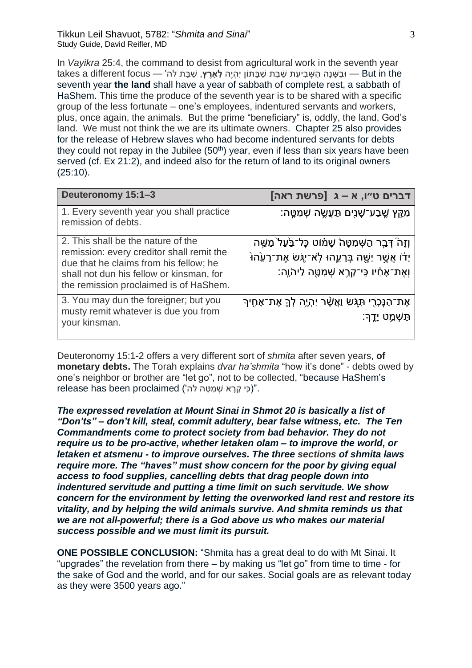In *Vayikra* 25:4, the command to desist from agricultural work in the seventh year takes a different focus — וּבַשֶּׁנָה הַשְּׁבִיעָת שַׁבַּת שַׁבַּתוֹן יִהְיֶה **לָאָרֵץ**, שַׁבַּת לה' seventh year **the land** shall have a year of sabbath of complete rest, a sabbath of HaShem. This time the produce of the seventh year is to be shared with a specific group of the less fortunate – one's employees, indentured servants and workers, plus, once again, the animals. But the prime "beneficiary" is, oddly, the land, God's land. We must not think the we are its ultimate owners. Chapter 25 also provides for the release of Hebrew slaves who had become indentured servants for debts they could not repay in the Jubilee  $(50<sup>th</sup>)$  year, even if less than six years have been served (cf. Ex 21:2), and indeed also for the return of land to its original owners (25:10).

| Deuteronomy 15:1-3                                                                                                                                                                                              | דברים ט״ו, א – ג [פרשת ראה]                                                                                                                                                           |
|-----------------------------------------------------------------------------------------------------------------------------------------------------------------------------------------------------------------|---------------------------------------------------------------------------------------------------------------------------------------------------------------------------------------|
| 1. Every seventh year you shall practice<br>remission of debts.                                                                                                                                                 | ֿמְקֵץ שֶׁבַע־שָׁנִים תַּעֲשֶׂה שְׁמִטֶּה:                                                                                                                                            |
| 2. This shall be the nature of the<br>remission: every creditor shall remit the<br>due that he claims from his fellow; he<br>shall not dun his fellow or kinsman, for<br>the remission proclaimed is of HaShem. | וְזֵה <del>דְּבֵר הַשָּׁמְטָה</del> שָׁמוֹט כָּל־בַּעַל מַשֵּׁה<br>ּיָדֹו אֲשֶׁר יַשֶּׁה בְּרֵעֱהוּ לְאֹ־יֵגָּשׂ אֶת־רֵעֵ <i>ׂ</i> הוּ<br>וְאֶת־אָחָ֫יו כֵּי־קָרֶא שָׁמְטֶה לַיהֹוֶה: |
| 3. You may dun the foreigner; but you<br>musty remit whatever is due you from<br>your kinsman.                                                                                                                  | אֶת־הַנָּכְרֵי תִּגָּשׂ וַאֲשֶׁר יִהְיֶה לְךָּ אֶת־אָחָיךָ<br>ּתַשְׁמֵט יָדֵךְ:                                                                                                       |

Deuteronomy 15:1-2 offers a very different sort of *shmita* after seven years, **of monetary debts.** The Torah explains *dvar ha'shmita* "how it's done" - debts owed by one's neighbor or brother are "let go", not to be collected, "because HaShem's release has been proclaimed ('כִּי קָרָא שְׁמִטָּה לה').

*The expressed revelation at Mount Sinai in Shmot 20 is basically a list of "Don'ts" – don't kill, steal, commit adultery, bear false witness, etc. The Ten Commandments come to protect society from bad behavior. They do not require us to be pro-active, whether letaken olam – to improve the world, or letaken et atsmenu - to improve ourselves. The three sections of shmita laws require more. The "haves" must show concern for the poor by giving equal access to food supplies, cancelling debts that drag people down into indentured servitude and putting a time limit on such servitude. We show concern for the environment by letting the overworked land rest and restore its vitality, and by helping the wild animals survive. And shmita reminds us that we are not all-powerful; there is a God above us who makes our material success possible and we must limit its pursuit.*

**ONE POSSIBLE CONCLUSION:** "Shmita has a great deal to do with Mt Sinai. It "upgrades" the revelation from there – by making us "let go" from time to time - for the sake of God and the world, and for our sakes. Social goals are as relevant today as they were 3500 years ago."